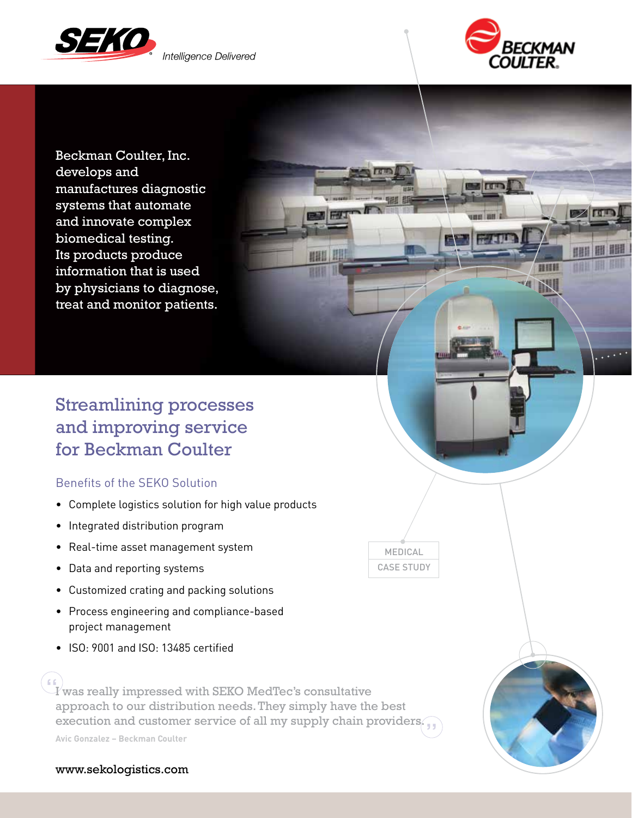



**EZ FID** 

日日料

**Barro** 

云に実現す

Beckman Coulter, Inc. develops and manufactures diagnostic systems that automate and innovate complex biomedical testing. Its products produce information that is used by physicians to diagnose, treat and monitor patients.

# Streamlining processes and improving service for Beckman Coulter

## Benefits of the SEKO Solution

- Complete logistics solution for high value products
- Integrated distribution program
- Real-time asset management system
- Data and reporting systems
- Customized crating and packing solutions
- Process engineering and compliance-based project management
- ISO: 9001 and ISO: 13485 certified

 $\left\| \begin{smallmatrix} 1 & 0 \ -I \end{smallmatrix} \right\|$  was really impressed with SEKO MedTec's consultative approach to our distribution needs. They simply have the best execution and customer service of all my supply chain providers.

**Avic Gonzalez – Beckman Coulter**

#### www.sekologistics.com

MEDICAL CASE STUDY

**HHI !!!**